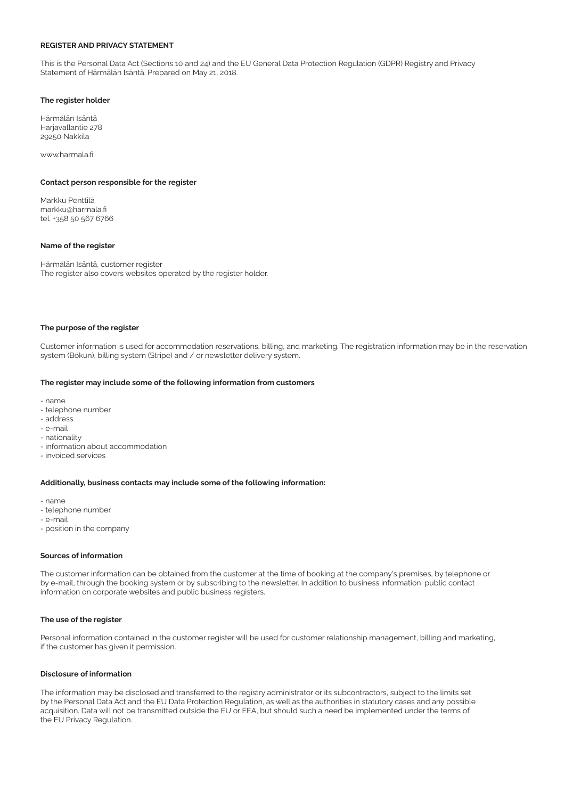# REGISTER AND PRIVACY STATEMENT

This is the Personal Data Act (Sections 10 and 24) and the EU General Data Protection Regulation (GDPR) Registry and Privacy Statement of Härmälän Isäntä. Prepared on May 21, 2018.

# The register holder

Härmälän Isäntä Harjavallantie 278 29250 Nakkila

www.harmala.fi

# Contact person responsible for the register

Markku Penttilä markku@harmala.fi tel. +358 50 567 6766

# Name of the register

Härmälän Isäntä, customer register The register also covers websites operated by the register holder.

## The purpose of the register

Customer information is used for accommodation reservations, billing, and marketing. The registration information may be in the reservation system (Bókun), billing system (Stripe) and / or newsletter delivery system.

#### The register may include some of the following information from customers

- name
- telephone number
- address
- e-mail
- nationality
- information about accommodation
- invoiced services

## Additionally, business contacts may include some of the following information:

- name
- telephone number
- e-mail
- position in the company

## Sources of information

The customer information can be obtained from the customer at the time of booking at the company's premises, by telephone or by e-mail, through the booking system or by subscribing to the newsletter. In addition to business information, public contact information on corporate websites and public business registers.

#### The use of the register

Personal information contained in the customer register will be used for customer relationship management, billing and marketing, if the customer has given it permission.

### Disclosure of information

The information may be disclosed and transferred to the registry administrator or its subcontractors, subject to the limits set by the Personal Data Act and the EU Data Protection Regulation, as well as the authorities in statutory cases and any possible acquisition. Data will not be transmitted outside the EU or EEA, but should such a need be implemented under the terms of the EU Privacy Regulation.